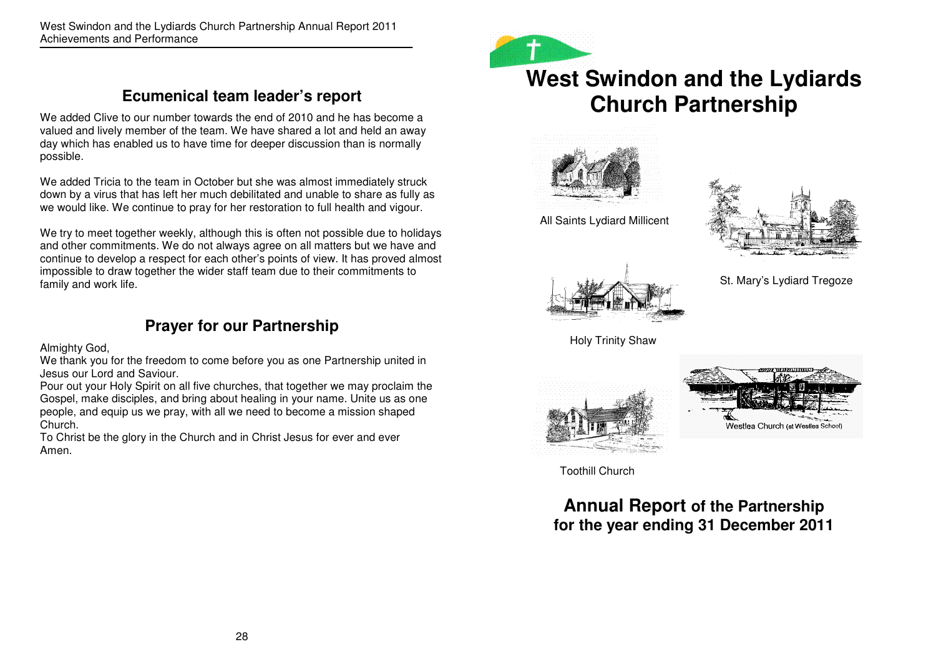# **Ecumenical team leader's report**

We added Clive to our number towards the end of 2010 and he has become a valued and lively member of the team. We have shared a lot and held an away day which has enabled us to have time for deeper discussion than is normally possible.

We added Tricia to the team in October but she was almost immediately struck down by a virus that has left her much debilitated and unable to share as fully as we would like. We continue to pray for her restoration to full health and vigour.

We try to meet together weekly, although this is often not possible due to holidays and other commitments. We do not always agree on all matters but we have and continue to develop a respect for each other's points of view. It has proved almost impossible to draw together the wider staff team due to their commitments to family and work life.

# **Prayer for our Partnership**

Almighty God,

 We thank you for the freedom to come before you as one Partnership united in Jesus our Lord and Saviour.

 Pour out your Holy Spirit on all five churches, that together we may proclaim the Gospel, make disciples, and bring about healing in your name. Unite us as one people, and equip us we pray, with all we need to become a mission shaped Church.

 To Christ be the glory in the Church and in Christ Jesus for ever and ever Amen.



# **West Swindon and the Lydiards Church Partnership**



All Saints Lydiard Millicent





St. Mary's Lydiard Tregoze



Holy Trinity Shaw





Toothill Church

**Annual Report of the Partnership for the year ending 31 December 2011**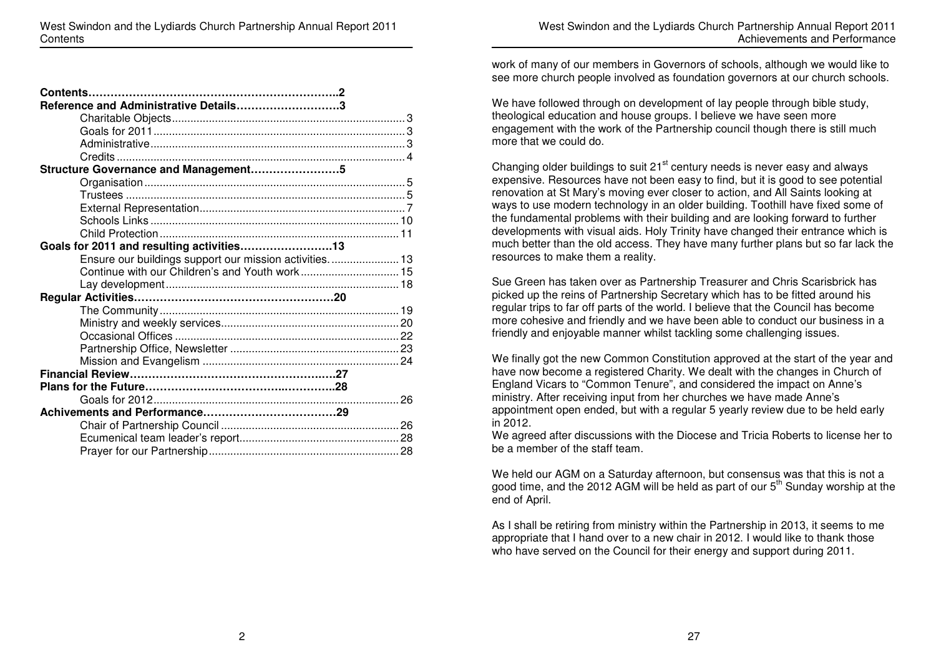| Reference and Administrative Details3                    |  |
|----------------------------------------------------------|--|
|                                                          |  |
|                                                          |  |
|                                                          |  |
|                                                          |  |
| Structure Governance and Management5                     |  |
|                                                          |  |
|                                                          |  |
|                                                          |  |
|                                                          |  |
|                                                          |  |
| Goals for 2011 and resulting activities13                |  |
| Ensure our buildings support our mission activities.  13 |  |
| Continue with our Children's and Youth work 15           |  |
|                                                          |  |
|                                                          |  |
|                                                          |  |
|                                                          |  |
|                                                          |  |
|                                                          |  |
|                                                          |  |
|                                                          |  |
|                                                          |  |
|                                                          |  |
|                                                          |  |
|                                                          |  |
|                                                          |  |
|                                                          |  |

work of many of our members in Governors of schools, although we would like to see more church people involved as foundation governors at our church schools.

We have followed through on development of lay people through bible study, theological education and house groups. I believe we have seen more engagement with the work of the Partnership council though there is still much more that we could do.

Changing older buildings to suit  $21<sup>st</sup>$  century needs is never easy and always expensive. Resources have not been easy to find, but it is good to see potential renovation at St Mary's moving ever closer to action, and All Saints looking at ways to use modern technology in an older building. Toothill have fixed some of the fundamental problems with their building and are looking forward to further developments with visual aids. Holy Trinity have changed their entrance which is much better than the old access. They have many further plans but so far lack the resources to make them a reality.

Sue Green has taken over as Partnership Treasurer and Chris Scarisbrick has picked up the reins of Partnership Secretary which has to be fitted around his regular trips to far off parts of the world. I believe that the Council has become more cohesive and friendly and we have been able to conduct our business in a friendly and enjoyable manner whilst tackling some challenging issues.

We finally got the new Common Constitution approved at the start of the year and have now become a registered Charity. We dealt with the changes in Church of England Vicars to "Common Tenure", and considered the impact on Anne's ministry. After receiving input from her churches we have made Anne's appointment open ended, but with a regular 5 yearly review due to be held early in 2012.

 We agreed after discussions with the Diocese and Tricia Roberts to license her to be a member of the staff team.

We held our AGM on a Saturday afternoon, but consensus was that this is not a good time, and the 2012 AGM will be held as part of our 5<sup>th</sup> Sunday worship at the end of April.

As I shall be retiring from ministry within the Partnership in 2013, it seems to me appropriate that I hand over to a new chair in 2012. I would like to thank those who have served on the Council for their energy and support during 2011.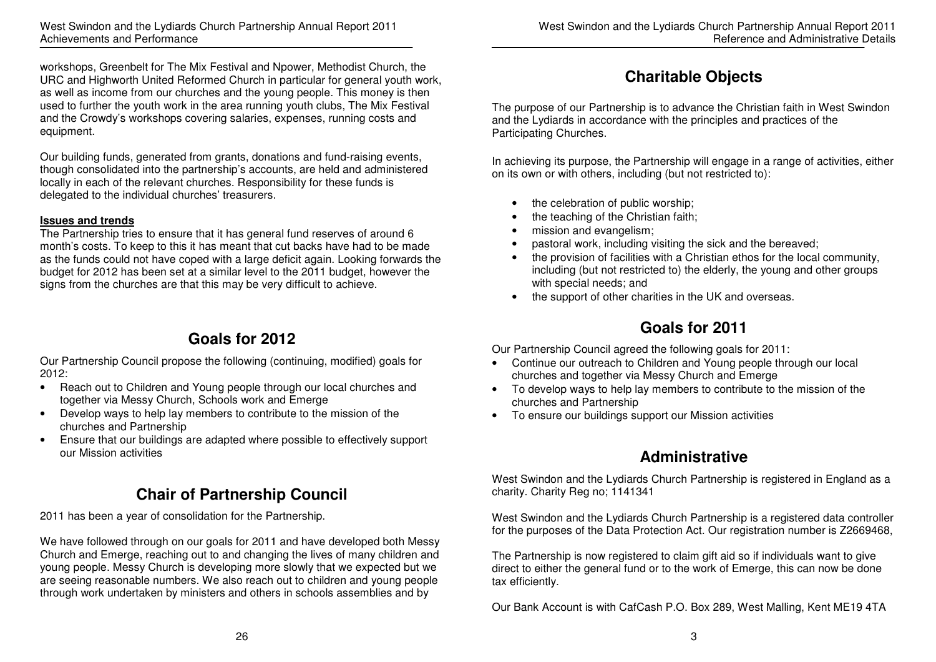workshops, Greenbelt for The Mix Festival and Npower, Methodist Church, the URC and Highworth United Reformed Church in particular for general youth work, as well as income from our churches and the young people. This money is then used to further the youth work in the area running youth clubs, The Mix Festival and the Crowdy's workshops covering salaries, expenses, running costs and equipment.

Our building funds, generated from grants, donations and fund-raising events, though consolidated into the partnership's accounts, are held and administered locally in each of the relevant churches. Responsibility for these funds is delegated to the individual churches' treasurers.

#### **Issues and trends**

 The Partnership tries to ensure that it has general fund reserves of around 6 month's costs. To keep to this it has meant that cut backs have had to be made as the funds could not have coped with a large deficit again. Looking forwards the budget for 2012 has been set at a similar level to the 2011 budget, however the signs from the churches are that this may be very difficult to achieve.

# **Goals for 2012**

Our Partnership Council propose the following (continuing, modified) goals for 2012:

- Reach out to Children and Young people through our local churches and together via Messy Church, Schools work and Emerge
- Develop ways to help lay members to contribute to the mission of the churches and Partnership
- Ensure that our buildings are adapted where possible to effectively support our Mission activities

# **Chair of Partnership Council**

2011 has been a year of consolidation for the Partnership.

We have followed through on our goals for 2011 and have developed both Messy Church and Emerge, reaching out to and changing the lives of many children and young people. Messy Church is developing more slowly that we expected but we are seeing reasonable numbers. We also reach out to children and young people through work undertaken by ministers and others in schools assemblies and by

# **Charitable Objects**

The purpose of our Partnership is to advance the Christian faith in West Swindon and the Lydiards in accordance with the principles and practices of the Participating Churches.

In achieving its purpose, the Partnership will engage in a range of activities, either on its own or with others, including (but not restricted to):

- the celebration of public worship;
- the teaching of the Christian faith;
- mission and evangelism;
- pastoral work, including visiting the sick and the bereaved;
- the provision of facilities with a Christian ethos for the local community, including (but not restricted to) the elderly, the young and other groups with special needs; and
- the support of other charities in the UK and overseas.

# **Goals for 2011**

Our Partnership Council agreed the following goals for 2011:

- Continue our outreach to Children and Young people through our local churches and together via Messy Church and Emerge
- To develop ways to help lay members to contribute to the mission of the churches and Partnership
- To ensure our buildings support our Mission activities

# **Administrative**

West Swindon and the Lydiards Church Partnership is registered in England as a charity. Charity Reg no; 1141341

West Swindon and the Lydiards Church Partnership is a registered data controller for the purposes of the Data Protection Act. Our registration number is Z2669468,

The Partnership is now registered to claim gift aid so if individuals want to give direct to either the general fund or to the work of Emerge, this can now be done tax efficiently.

Our Bank Account is with CafCash P.O. Box 289, West Malling, Kent ME19 4TA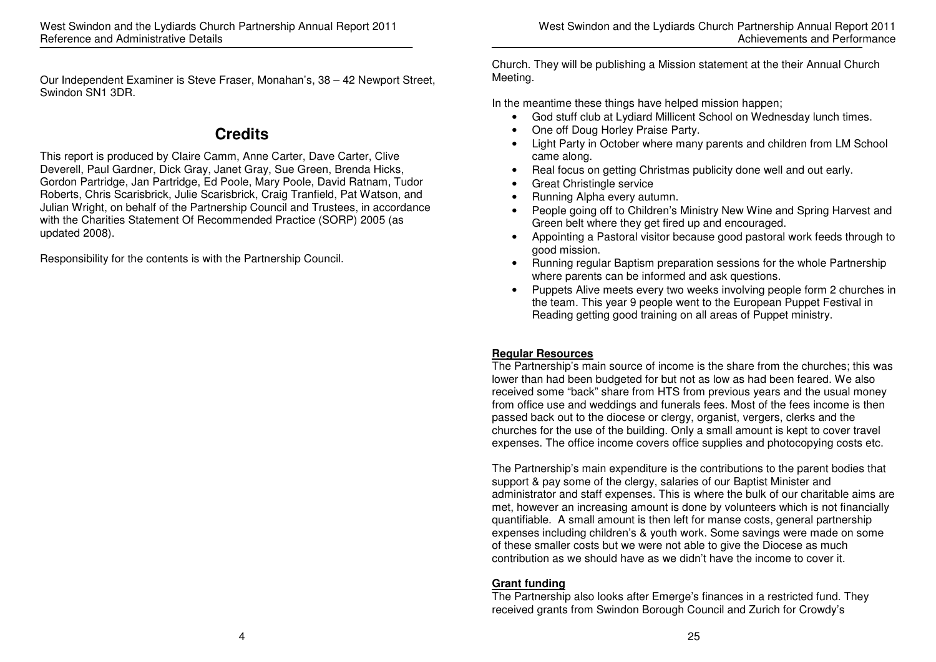Our Independent Examiner is Steve Fraser, Monahan's, 38 – 42 Newport Street, Swindon SN1 3DR.

# **Credits**

This report is produced by Claire Camm, Anne Carter, Dave Carter, Clive Deverell, Paul Gardner, Dick Gray, Janet Gray, Sue Green, Brenda Hicks, Gordon Partridge, Jan Partridge, Ed Poole, Mary Poole, David Ratnam, Tudor Roberts, Chris Scarisbrick, Julie Scarisbrick, Craig Tranfield, Pat Watson, and Julian Wright, on behalf of the Partnership Council and Trustees, in accordance with the Charities Statement Of Recommended Practice (SORP) 2005 (as updated 2008).

Responsibility for the contents is with the Partnership Council.

Church. They will be publishing a Mission statement at the their Annual Church Meeting.

In the meantime these things have helped mission happen;

- God stuff club at Lydiard Millicent School on Wednesday lunch times.
- One off Doug Horley Praise Party.
- Light Party in October where many parents and children from LM School came along.
- Real focus on getting Christmas publicity done well and out early.
- Great Christingle service
- Running Alpha every autumn.
- People going off to Children's Ministry New Wine and Spring Harvest and Green belt where they get fired up and encouraged.
- Appointing a Pastoral visitor because good pastoral work feeds through to good mission.
- Running regular Baptism preparation sessions for the whole Partnership where parents can be informed and ask questions.
- Puppets Alive meets every two weeks involving people form 2 churches in the team. This year 9 people went to the European Puppet Festival in Reading getting good training on all areas of Puppet ministry.

### **Regular Resources**

 The Partnership's main source of income is the share from the churches; this was lower than had been budgeted for but not as low as had been feared. We also received some "back" share from HTS from previous years and the usual money from office use and weddings and funerals fees. Most of the fees income is then passed back out to the diocese or clergy, organist, vergers, clerks and the churches for the use of the building. Only a small amount is kept to cover travel expenses. The office income covers office supplies and photocopying costs etc.

The Partnership's main expenditure is the contributions to the parent bodies that support & pay some of the clergy, salaries of our Baptist Minister and administrator and staff expenses. This is where the bulk of our charitable aims are met, however an increasing amount is done by volunteers which is not financially quantifiable. A small amount is then left for manse costs, general partnership expenses including children's & youth work. Some savings were made on some of these smaller costs but we were not able to give the Diocese as much contribution as we should have as we didn't have the income to cover it.

### **Grant funding**

 The Partnership also looks after Emerge's finances in a restricted fund. They received grants from Swindon Borough Council and Zurich for Crowdy's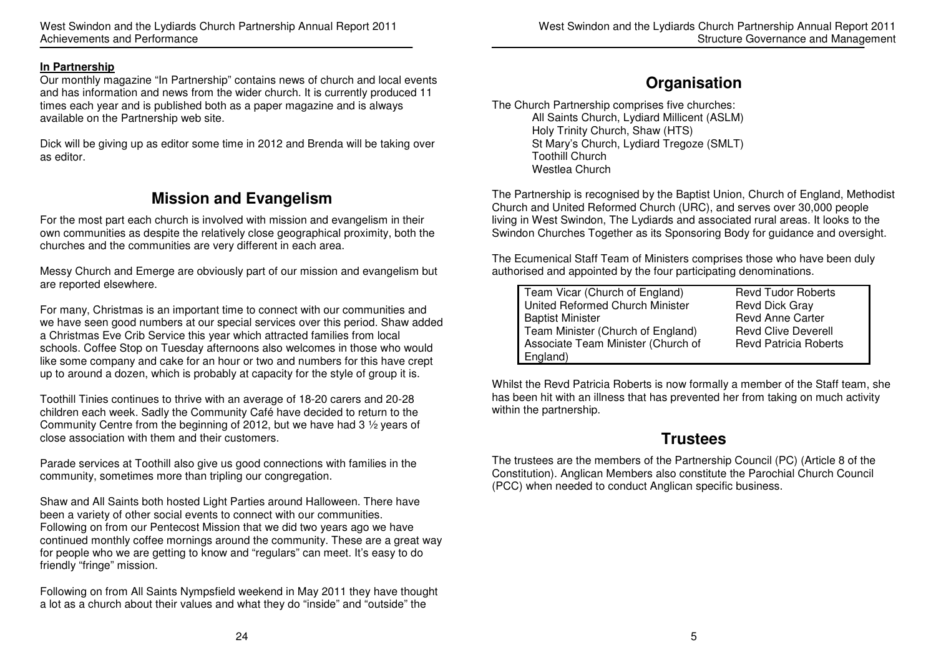#### **In Partnership**

 Our monthly magazine "In Partnership" contains news of church and local events and has information and news from the wider church. It is currently produced 11 times each year and is published both as a paper magazine and is always available on the Partnership web site.

Dick will be giving up as editor some time in 2012 and Brenda will be taking over as editor.

# **Mission and Evangelism**

For the most part each church is involved with mission and evangelism in their own communities as despite the relatively close geographical proximity, both the churches and the communities are very different in each area.

Messy Church and Emerge are obviously part of our mission and evangelism but are reported elsewhere.

For many, Christmas is an important time to connect with our communities and we have seen good numbers at our special services over this period. Shaw added a Christmas Eve Crib Service this year which attracted families from local schools. Coffee Stop on Tuesday afternoons also welcomes in those who would like some company and cake for an hour or two and numbers for this have crept up to around a dozen, which is probably at capacity for the style of group it is.

Toothill Tinies continues to thrive with an average of 18-20 carers and 20-28 children each week. Sadly the Community Café have decided to return to the Community Centre from the beginning of 2012, but we have had 3 ½ years of close association with them and their customers.

Parade services at Toothill also give us good connections with families in the community, sometimes more than tripling our congregation.

Shaw and All Saints both hosted Light Parties around Halloween. There have been a variety of other social events to connect with our communities. Following on from our Pentecost Mission that we did two years ago we have continued monthly coffee mornings around the community. These are a great way for people who we are getting to know and "regulars" can meet. It's easy to do friendly "fringe" mission.

Following on from All Saints Nympsfield weekend in May 2011 they have thought a lot as a church about their values and what they do "inside" and "outside" the

### **Organisation**

The Church Partnership comprises five churches: All Saints Church, Lydiard Millicent (ASLM) Holy Trinity Church, Shaw (HTS) St Mary's Church, Lydiard Tregoze (SMLT) Toothill Church Westlea Church

The Partnership is recognised by the Baptist Union, Church of England, Methodist Church and United Reformed Church (URC), and serves over 30,000 people living in West Swindon, The Lydiards and associated rural areas. It looks to the Swindon Churches Together as its Sponsoring Body for guidance and oversight.

The Ecumenical Staff Team of Ministers comprises those who have been duly authorised and appointed by the four participating denominations.

| Team Vicar (Church of England)     | <b>Revd Tudor Roberts</b>    |
|------------------------------------|------------------------------|
| United Reformed Church Minister    | <b>Revd Dick Gray</b>        |
| <b>Baptist Minister</b>            | <b>Revd Anne Carter</b>      |
| Team Minister (Church of England)  | <b>Revd Clive Deverell</b>   |
| Associate Team Minister (Church of | <b>Revd Patricia Roberts</b> |
| England)                           |                              |

Whilst the Revd Patricia Roberts is now formally a member of the Staff team, she has been hit with an illness that has prevented her from taking on much activity within the partnership.

### **Trustees**

The trustees are the members of the Partnership Council (PC) (Article 8 of the Constitution). Anglican Members also constitute the Parochial Church Council (PCC) when needed to conduct Anglican specific business.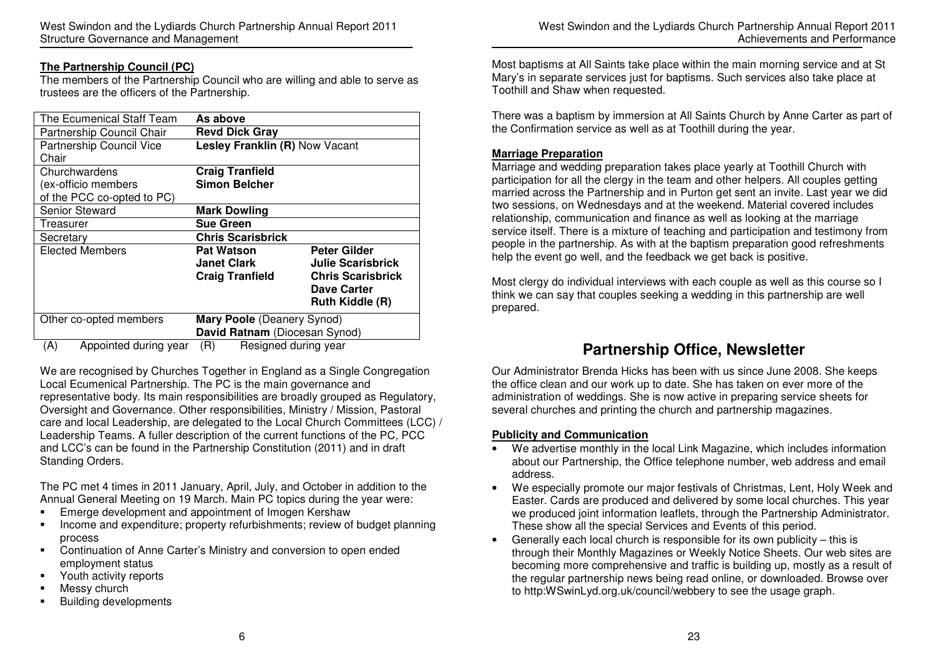West Swindon and the Lydiards Church Partnership Annual Report 2011 Structure Governance and Management

#### **The Partnership Council (PC)**

 The members of the Partnership Council who are willing and able to serve as trustees are the officers of the Partnership.

| The Ecumenical Staff Team  | As above                       |                          |  |  |
|----------------------------|--------------------------------|--------------------------|--|--|
| Partnership Council Chair  | <b>Revd Dick Gray</b>          |                          |  |  |
| Partnership Council Vice   | Lesley Franklin (R) Now Vacant |                          |  |  |
| Chair                      |                                |                          |  |  |
| Churchwardens              | <b>Craig Tranfield</b>         |                          |  |  |
| (ex-officio members        | <b>Simon Belcher</b>           |                          |  |  |
| of the PCC co-opted to PC) |                                |                          |  |  |
| <b>Senior Steward</b>      | <b>Mark Dowling</b>            |                          |  |  |
| Treasurer                  | <b>Sue Green</b>               |                          |  |  |
| Secretary                  | <b>Chris Scarisbrick</b>       |                          |  |  |
| <b>Elected Members</b>     | <b>Pat Watson</b>              | Peter Gilder             |  |  |
|                            | <b>Janet Clark</b>             | <b>Julie Scarisbrick</b> |  |  |
|                            | <b>Craig Tranfield</b>         | <b>Chris Scarisbrick</b> |  |  |
|                            |                                | Dave Carter              |  |  |
|                            |                                | <b>Ruth Kiddle (R)</b>   |  |  |
| Other co-opted members     | Mary Poole (Deanery Synod)     |                          |  |  |
|                            | David Ratnam (Diocesan Synod)  |                          |  |  |
| Annointed during user<br>( | (5)<br>Doolangel during user   |                          |  |  |

(A) Appointed during year (R) Resigned during year

We are recognised by Churches Together in England as a Single Congregation Local Ecumenical Partnership. The PC is the main governance and representative body. Its main responsibilities are broadly grouped as Regulatory, Oversight and Governance. Other responsibilities, Ministry / Mission, Pastoral care and local Leadership, are delegated to the Local Church Committees (LCC) / Leadership Teams. A fuller description of the current functions of the PC, PCC and LCC's can be found in the Partnership Constitution (2011) and in draft Standing Orders.

The PC met 4 times in 2011 January, April, July, and October in addition to the Annual General Meeting on 19 March. Main PC topics during the year were:

- Emerge development and appointment of Imogen Kershaw
- **Income and expenditure; property refurbishments; review of budget planning** process
- **Continuation of Anne Carter's Ministry and conversion to open ended** employment status
- **Fig.** Youth activity reports
- **Messy church**
- **Building developments**

West Swindon and the Lydiards Church Partnership Annual Report 2011 Achievements and Performance

Most baptisms at All Saints take place within the main morning service and at St Mary's in separate services just for baptisms. Such services also take place at Toothill and Shaw when requested.

There was a baptism by immersion at All Saints Church by Anne Carter as part of the Confirmation service as well as at Toothill during the year.

#### **Marriage Preparation**

 Marriage and wedding preparation takes place yearly at Toothill Church with participation for all the clergy in the team and other helpers. All couples getting married across the Partnership and in Purton get sent an invite. Last year we did two sessions, on Wednesdays and at the weekend. Material covered includes relationship, communication and finance as well as looking at the marriage service itself. There is a mixture of teaching and participation and testimony from people in the partnership. As with at the baptism preparation good refreshments help the event go well, and the feedback we get back is positive.

Most clergy do individual interviews with each couple as well as this course so I think we can say that couples seeking a wedding in this partnership are well prepared.

### **Partnership Office, Newsletter**

Our Administrator Brenda Hicks has been with us since June 2008. She keeps the office clean and our work up to date. She has taken on ever more of the administration of weddings. She is now active in preparing service sheets for several churches and printing the church and partnership magazines.

#### **Publicity and Communication**

- We advertise monthly in the local Link Magazine, which includes information about our Partnership, the Office telephone number, web address and email address.
- We especially promote our major festivals of Christmas, Lent, Holy Week and Easter. Cards are produced and delivered by some local churches. This year we produced joint information leaflets, through the Partnership Administrator. These show all the special Services and Events of this period.
- Generally each local church is responsible for its own publicity this is through their Monthly Magazines or Weekly Notice Sheets. Our web sites are becoming more comprehensive and traffic is building up, mostly as a result of the regular partnership news being read online, or downloaded. Browse over to http:WSwinLyd.org.uk/council/webbery to see the usage graph.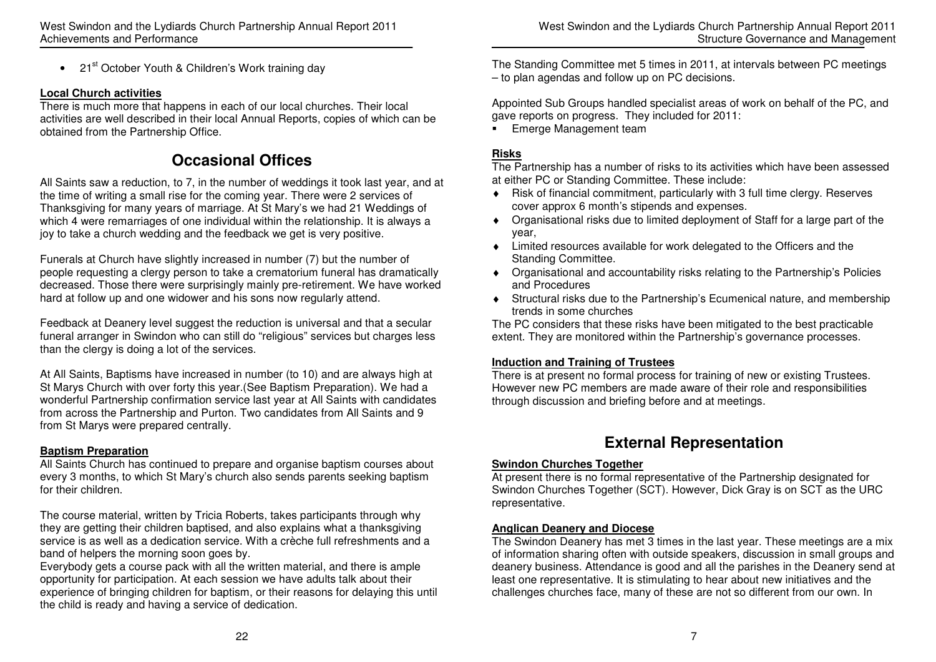• 21<sup>st</sup> October Youth & Children's Work training day

### **Local Church activities**

 There is much more that happens in each of our local churches. Their local activities are well described in their local Annual Reports, copies of which can be obtained from the Partnership Office.

# **Occasional Offices**

All Saints saw a reduction, to 7, in the number of weddings it took last year, and at the time of writing a small rise for the coming year. There were 2 services of Thanksgiving for many years of marriage. At St Mary's we had 21 Weddings of which 4 were remarriages of one individual within the relationship. It is always a joy to take a church wedding and the feedback we get is very positive.

Funerals at Church have slightly increased in number (7) but the number of people requesting a clergy person to take a crematorium funeral has dramatically decreased. Those there were surprisingly mainly pre-retirement. We have worked hard at follow up and one widower and his sons now regularly attend.

Feedback at Deanery level suggest the reduction is universal and that a secular funeral arranger in Swindon who can still do "religious" services but charges less than the clergy is doing a lot of the services.

At All Saints, Baptisms have increased in number (to 10) and are always high at St Marys Church with over forty this year.(See Baptism Preparation). We had a wonderful Partnership confirmation service last year at All Saints with candidates from across the Partnership and Purton. Two candidates from All Saints and 9 from St Marys were prepared centrally.

### **Baptism Preparation**

 All Saints Church has continued to prepare and organise baptism courses about every 3 months, to which St Mary's church also sends parents seeking baptism for their children.

The course material, written by Tricia Roberts, takes participants through why they are getting their children baptised, and also explains what a thanksgiving service is as well as a dedication service. With a crèche full refreshments and a band of helpers the morning soon goes by.

 Everybody gets a course pack with all the written material, and there is ample opportunity for participation. At each session we have adults talk about their experience of bringing children for baptism, or their reasons for delaying this until the child is ready and having a service of dedication.

The Standing Committee met 5 times in 2011, at intervals between PC meetings – to plan agendas and follow up on PC decisions.

Appointed Sub Groups handled specialist areas of work on behalf of the PC, and gave reports on progress. They included for 2011:

**Emerge Management team** 

### **Risks**

 The Partnership has a number of risks to its activities which have been assessed at either PC or Standing Committee. These include:

- ♦ Risk of financial commitment, particularly with 3 full time clergy. Reserves cover approx 6 month's stipends and expenses.
- ♦ Organisational risks due to limited deployment of Staff for a large part of the year,
- ♦ Limited resources available for work delegated to the Officers and the Standing Committee.
- ♦ Organisational and accountability risks relating to the Partnership's Policies and Procedures
- ♦ Structural risks due to the Partnership's Ecumenical nature, and membership trends in some churches

 The PC considers that these risks have been mitigated to the best practicable extent. They are monitored within the Partnership's governance processes.

### **Induction and Training of Trustees**

 There is at present no formal process for training of new or existing Trustees. However new PC members are made aware of their role and responsibilities through discussion and briefing before and at meetings.

# **External Representation**

### **Swindon Churches Together**

 At present there is no formal representative of the Partnership designated for Swindon Churches Together (SCT). However, Dick Gray is on SCT as the URC representative.

### **Anglican Deanery and Diocese**

 The Swindon Deanery has met 3 times in the last year. These meetings are a mix of information sharing often with outside speakers, discussion in small groups and deanery business. Attendance is good and all the parishes in the Deanery send at least one representative. It is stimulating to hear about new initiatives and the challenges churches face, many of these are not so different from our own. In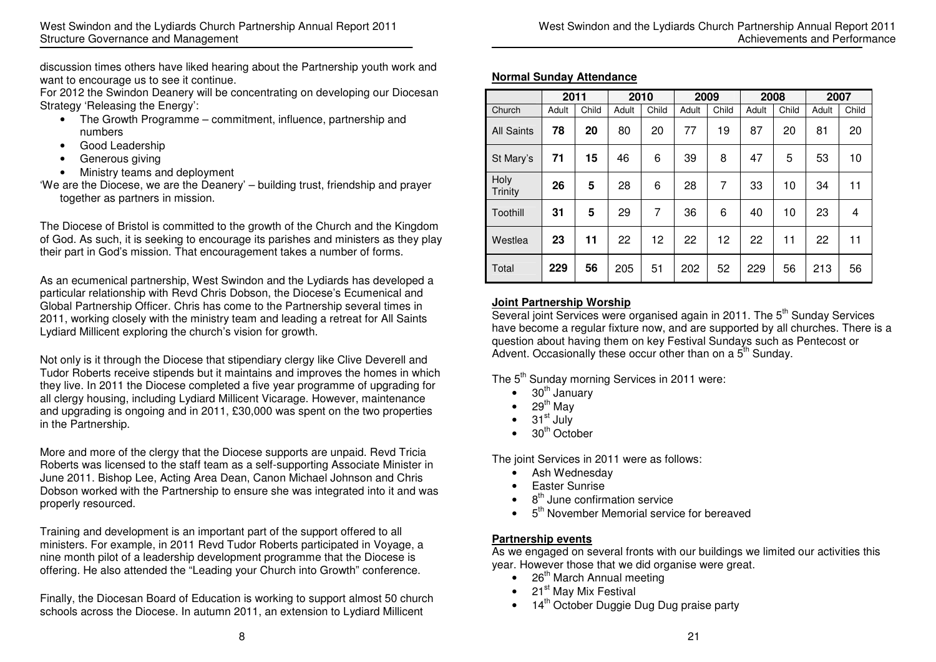discussion times others have liked hearing about the Partnership youth work and want to encourage us to see it continue.

 For 2012 the Swindon Deanery will be concentrating on developing our Diocesan Strategy 'Releasing the Energy':

- The Growth Programme commitment, influence, partnership and numbers
- Good Leadership
- Generous giving
- Ministry teams and deployment
- 'We are the Diocese, we are the Deanery' building trust, friendship and prayer together as partners in mission.

The Diocese of Bristol is committed to the growth of the Church and the Kingdom of God. As such, it is seeking to encourage its parishes and ministers as they play their part in God's mission. That encouragement takes a number of forms.

As an ecumenical partnership, West Swindon and the Lydiards has developed a particular relationship with Revd Chris Dobson, the Diocese's Ecumenical and Global Partnership Officer. Chris has come to the Partnership several times in 2011, working closely with the ministry team and leading a retreat for All Saints Lydiard Millicent exploring the church's vision for growth.

Not only is it through the Diocese that stipendiary clergy like Clive Deverell and Tudor Roberts receive stipends but it maintains and improves the homes in which they live. In 2011 the Diocese completed a five year programme of upgrading for all clergy housing, including Lydiard Millicent Vicarage. However, maintenance and upgrading is ongoing and in 2011, £30,000 was spent on the two properties in the Partnership.

More and more of the clergy that the Diocese supports are unpaid. Revd Tricia Roberts was licensed to the staff team as a self-supporting Associate Minister in June 2011. Bishop Lee, Acting Area Dean, Canon Michael Johnson and Chris Dobson worked with the Partnership to ensure she was integrated into it and was properly resourced.

Training and development is an important part of the support offered to all ministers. For example, in 2011 Revd Tudor Roberts participated in Voyage, a nine month pilot of a leadership development programme that the Diocese is offering. He also attended the "Leading your Church into Growth" conference.

Finally, the Diocesan Board of Education is working to support almost 50 church schools across the Diocese. In autumn 2011, an extension to Lydiard Millicent

|  | <b>Normal Sunday Attendance</b> |
|--|---------------------------------|
|  |                                 |

|                   | 2011  |       | 2010  |       | 2009  |       | 2008  |       | 2007  |       |
|-------------------|-------|-------|-------|-------|-------|-------|-------|-------|-------|-------|
| Church            | Adult | Child | Adult | Child | Adult | Child | Adult | Child | Adult | Child |
| <b>All Saints</b> | 78    | 20    | 80    | 20    | 77    | 19    | 87    | 20    | 81    | 20    |
| St Mary's         | 71    | 15    | 46    | 6     | 39    | 8     | 47    | 5     | 53    | 10    |
| Holy<br>Trinity   | 26    | 5     | 28    | 6     | 28    | 7     | 33    | 10    | 34    | 11    |
| Toothill          | 31    | 5     | 29    | 7     | 36    | 6     | 40    | 10    | 23    | 4     |
| Westlea           | 23    | 11    | 22    | 12    | 22    | 12    | 22    | 11    | 22    | 11    |
| Total             | 229   | 56    | 205   | 51    | 202   | 52    | 229   | 56    | 213   | 56    |

### **Joint Partnership Worship**

Several joint Services were organised again in 2011. The 5<sup>th</sup> Sunday Services have become a regular fixture now, and are supported by all churches. There is a question about having them on key Festival Sundays such as Pentecost or Advent. Occasionally these occur other than on a  $5<sup>th</sup>$  Sunday.

The 5<sup>th</sup> Sunday morning Services in 2011 were:

- $\bullet$  30<sup>th</sup> January
- 29<sup>th</sup> Mav
- $\bullet$  31st July
- $\bullet$  30<sup>th</sup> October

The joint Services in 2011 were as follows:

- Ash Wednesday
- Easter Sunrise
- $\bullet$  8<sup>th</sup> June confirmation service
- $\bullet$  5<sup>th</sup> November Memorial service for bereaved

### **Partnership events**

 As we engaged on several fronts with our buildings we limited our activities this year. However those that we did organise were great.

- $\bullet$  26<sup>th</sup> March Annual meeting
- $\bullet$  21<sup>st</sup> May Mix Festival
- $\bullet$  14<sup>th</sup> October Duggie Dug Dug praise party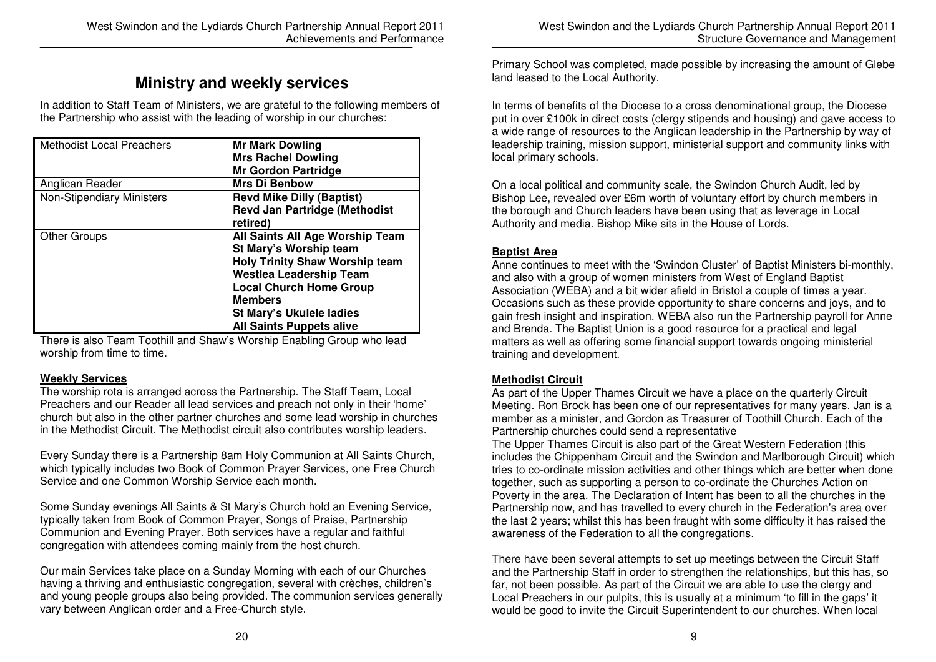### **Ministry and weekly services**

In addition to Staff Team of Ministers, we are grateful to the following members of the Partnership who assist with the leading of worship in our churches:

| <b>Methodist Local Preachers</b> | <b>Mr Mark Dowling</b><br><b>Mrs Rachel Dowling</b><br><b>Mr Gordon Partridge</b>                                                                                                                                                                              |
|----------------------------------|----------------------------------------------------------------------------------------------------------------------------------------------------------------------------------------------------------------------------------------------------------------|
| Anglican Reader                  | <b>Mrs Di Benbow</b>                                                                                                                                                                                                                                           |
| <b>Non-Stipendiary Ministers</b> | <b>Revd Mike Dilly (Baptist)</b><br><b>Revd Jan Partridge (Methodist</b><br>retired)                                                                                                                                                                           |
| <b>Other Groups</b>              | All Saints All Age Worship Team<br>St Mary's Worship team<br><b>Holy Trinity Shaw Worship team</b><br><b>Westlea Leadership Team</b><br><b>Local Church Home Group</b><br><b>Members</b><br><b>St Mary's Ukulele ladies</b><br><b>All Saints Puppets alive</b> |

There is also Team Toothill and Shaw's Worship Enabling Group who lead worship from time to time.

#### **Weekly Services**

 The worship rota is arranged across the Partnership. The Staff Team, Local Preachers and our Reader all lead services and preach not only in their 'home' church but also in the other partner churches and some lead worship in churches in the Methodist Circuit. The Methodist circuit also contributes worship leaders.

Every Sunday there is a Partnership 8am Holy Communion at All Saints Church, which typically includes two Book of Common Prayer Services, one Free Church Service and one Common Worship Service each month.

Some Sunday evenings All Saints & St Mary's Church hold an Evening Service, typically taken from Book of Common Prayer, Songs of Praise, Partnership Communion and Evening Prayer. Both services have a regular and faithful congregation with attendees coming mainly from the host church.

Our main Services take place on a Sunday Morning with each of our Churches having a thriving and enthusiastic congregation, several with crèches, children's and young people groups also being provided. The communion services generally vary between Anglican order and a Free-Church style.

Primary School was completed, made possible by increasing the amount of Glebe land leased to the Local Authority.

In terms of benefits of the Diocese to a cross denominational group, the Diocese put in over £100k in direct costs (clergy stipends and housing) and gave access to a wide range of resources to the Anglican leadership in the Partnership by way of leadership training, mission support, ministerial support and community links with local primary schools.

On a local political and community scale, the Swindon Church Audit, led by Bishop Lee, revealed over £6m worth of voluntary effort by church members in the borough and Church leaders have been using that as leverage in Local Authority and media. Bishop Mike sits in the House of Lords.

#### **Baptist Area**

 Anne continues to meet with the 'Swindon Cluster' of Baptist Ministers bi-monthly, and also with a group of women ministers from West of England Baptist Association (WEBA) and a bit wider afield in Bristol a couple of times a year. Occasions such as these provide opportunity to share concerns and joys, and to gain fresh insight and inspiration. WEBA also run the Partnership payroll for Anne and Brenda. The Baptist Union is a good resource for a practical and legal matters as well as offering some financial support towards ongoing ministerial training and development.

#### **Methodist Circuit**

 As part of the Upper Thames Circuit we have a place on the quarterly Circuit Meeting. Ron Brock has been one of our representatives for many years. Jan is a member as a minister, and Gordon as Treasurer of Toothill Church. Each of the Partnership churches could send a representative

 The Upper Thames Circuit is also part of the Great Western Federation (this includes the Chippenham Circuit and the Swindon and Marlborough Circuit) which tries to co-ordinate mission activities and other things which are better when done together, such as supporting a person to co-ordinate the Churches Action on Poverty in the area. The Declaration of Intent has been to all the churches in the Partnership now, and has travelled to every church in the Federation's area over the last 2 years; whilst this has been fraught with some difficulty it has raised the awareness of the Federation to all the congregations.

There have been several attempts to set up meetings between the Circuit Staff and the Partnership Staff in order to strengthen the relationships, but this has, so far, not been possible. As part of the Circuit we are able to use the clergy and Local Preachers in our pulpits, this is usually at a minimum 'to fill in the gaps' it would be good to invite the Circuit Superintendent to our churches. When local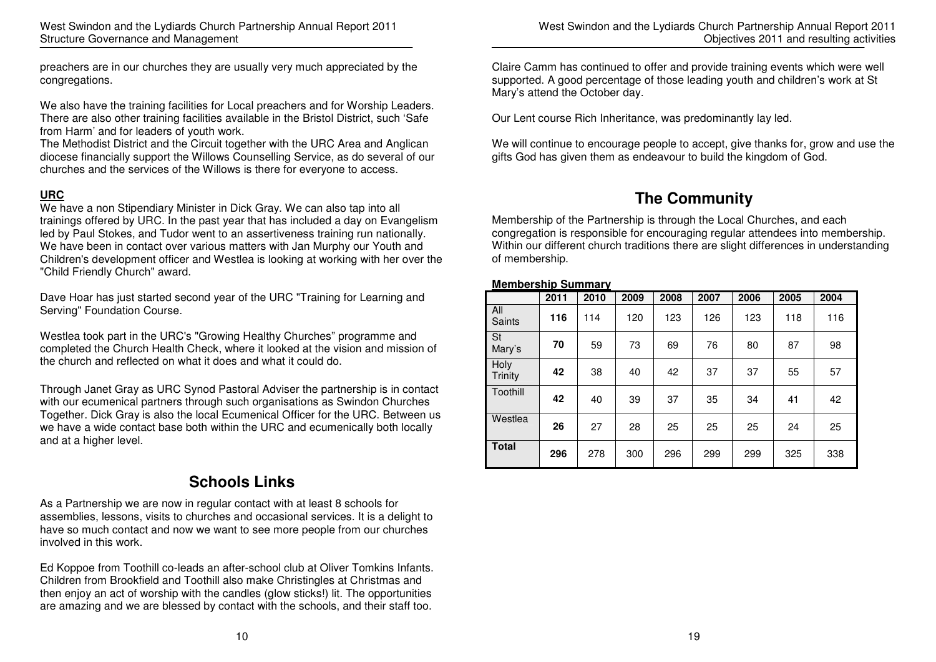preachers are in our churches they are usually very much appreciated by the congregations.

We also have the training facilities for Local preachers and for Worship Leaders. There are also other training facilities available in the Bristol District, such 'Safe from Harm' and for leaders of youth work.

 The Methodist District and the Circuit together with the URC Area and Anglican diocese financially support the Willows Counselling Service, as do several of our churches and the services of the Willows is there for everyone to access.

### **URC**

 We have a non Stipendiary Minister in Dick Gray. We can also tap into all trainings offered by URC. In the past year that has included a day on Evangelism led by Paul Stokes, and Tudor went to an assertiveness training run nationally. We have been in contact over various matters with Jan Murphy our Youth and Children's development officer and Westlea is looking at working with her over the "Child Friendly Church" award.

Dave Hoar has just started second year of the URC "Training for Learning and Serving" Foundation Course.

Westlea took part in the URC's "Growing Healthy Churches" programme and completed the Church Health Check, where it looked at the vision and mission of the church and reflected on what it does and what it could do.

Through Janet Gray as URC Synod Pastoral Adviser the partnership is in contact with our ecumenical partners through such organisations as Swindon Churches Together. Dick Gray is also the local Ecumenical Officer for the URC. Between us we have a wide contact base both within the URC and ecumenically both locally and at a higher level.

# **Schools Links**

As a Partnership we are now in regular contact with at least 8 schools for assemblies, lessons, visits to churches and occasional services. It is a delight to have so much contact and now we want to see more people from our churches involved in this work.

Ed Koppoe from Toothill co-leads an after-school club at Oliver Tomkins Infants. Children from Brookfield and Toothill also make Christingles at Christmas and then enjoy an act of worship with the candles (glow sticks!) lit. The opportunities are amazing and we are blessed by contact with the schools, and their staff too.

West Swindon and the Lydiards Church Partnership Annual Report 2011 Objectives 2011 and resulting activities

Claire Camm has continued to offer and provide training events which were well supported. A good percentage of those leading youth and children's work at St Mary's attend the October day.

Our Lent course Rich Inheritance, was predominantly lay led.

We will continue to encourage people to accept, give thanks for, grow and use the gifts God has given them as endeavour to build the kingdom of God.

# **The Community**

Membership of the Partnership is through the Local Churches, and each congregation is responsible for encouraging regular attendees into membership. Within our different church traditions there are slight differences in understanding of membership.

#### **Membership Summary**

|                     | 2011 | 2010 | 2009 | 2008 | 2007 | 2006 | 2005 | 2004 |
|---------------------|------|------|------|------|------|------|------|------|
| All<br>Saints       | 116  | 114  | 120  | 123  | 126  | 123  | 118  | 116  |
| <b>St</b><br>Mary's | 70   | 59   | 73   | 69   | 76   | 80   | 87   | 98   |
| Holy<br>Trinity     | 42   | 38   | 40   | 42   | 37   | 37   | 55   | 57   |
| Toothill            | 42   | 40   | 39   | 37   | 35   | 34   | 41   | 42   |
| Westlea             | 26   | 27   | 28   | 25   | 25   | 25   | 24   | 25   |
| <b>Total</b>        | 296  | 278  | 300  | 296  | 299  | 299  | 325  | 338  |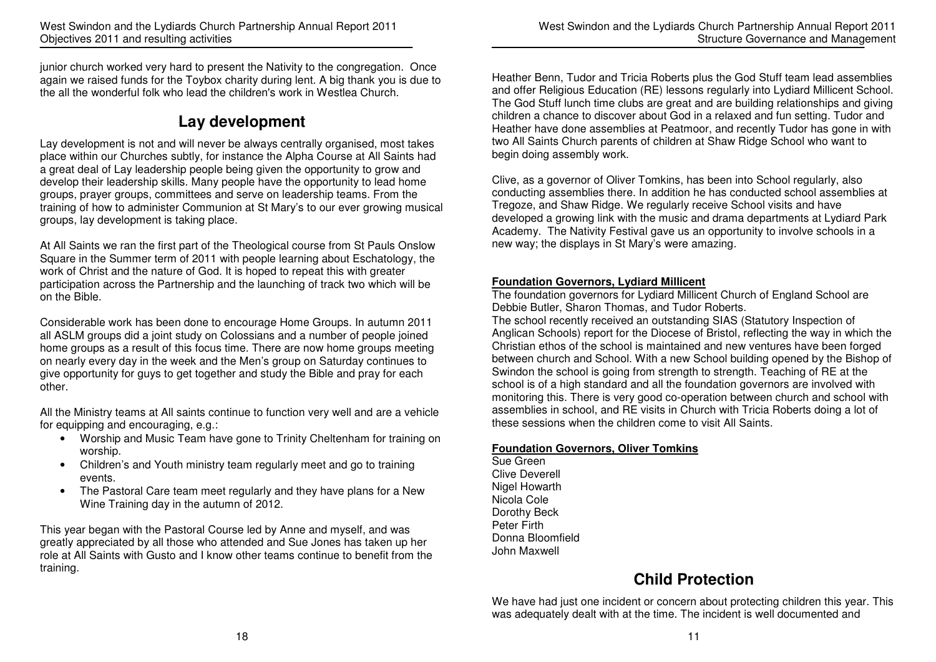junior church worked very hard to present the Nativity to the congregation. Once again we raised funds for the Toybox charity during lent. A big thank you is due to the all the wonderful folk who lead the children's work in Westlea Church.

# **Lay development**

Lay development is not and will never be always centrally organised, most takes place within our Churches subtly, for instance the Alpha Course at All Saints had a great deal of Lay leadership people being given the opportunity to grow and develop their leadership skills. Many people have the opportunity to lead home groups, prayer groups, committees and serve on leadership teams. From the training of how to administer Communion at St Mary's to our ever growing musical groups, lay development is taking place.

At All Saints we ran the first part of the Theological course from St Pauls Onslow Square in the Summer term of 2011 with people learning about Eschatology, the work of Christ and the nature of God. It is hoped to repeat this with greater participation across the Partnership and the launching of track two which will be on the Bible.

Considerable work has been done to encourage Home Groups. In autumn 2011 all ASLM groups did a joint study on Colossians and a number of people joined home groups as a result of this focus time. There are now home groups meeting on nearly every day in the week and the Men's group on Saturday continues to give opportunity for guys to get together and study the Bible and pray for each other.

All the Ministry teams at All saints continue to function very well and are a vehicle for equipping and encouraging, e.g.:

- Worship and Music Team have gone to Trinity Cheltenham for training on worship.
- Children's and Youth ministry team regularly meet and go to training events.
- The Pastoral Care team meet regularly and they have plans for a New Wine Training day in the autumn of 2012.

This year began with the Pastoral Course led by Anne and myself, and was greatly appreciated by all those who attended and Sue Jones has taken up her role at All Saints with Gusto and I know other teams continue to benefit from the training.

Heather Benn, Tudor and Tricia Roberts plus the God Stuff team lead assemblies and offer Religious Education (RE) lessons regularly into Lydiard Millicent School. The God Stuff lunch time clubs are great and are building relationships and giving children a chance to discover about God in a relaxed and fun setting. Tudor and Heather have done assemblies at Peatmoor, and recently Tudor has gone in with two All Saints Church parents of children at Shaw Ridge School who want to begin doing assembly work.

Clive, as a governor of Oliver Tomkins, has been into School regularly, also conducting assemblies there. In addition he has conducted school assemblies at Tregoze, and Shaw Ridge. We regularly receive School visits and have developed a growing link with the music and drama departments at Lydiard Park Academy. The Nativity Festival gave us an opportunity to involve schools in a new way; the displays in St Mary's were amazing.

### **Foundation Governors, Lydiard Millicent**

 The foundation governors for Lydiard Millicent Church of England School are Debbie Butler, Sharon Thomas, and Tudor Roberts.

 The school recently received an outstanding SIAS (Statutory Inspection of Anglican Schools) report for the Diocese of Bristol, reflecting the way in which the Christian ethos of the school is maintained and new ventures have been forged between church and School. With a new School building opened by the Bishop of Swindon the school is going from strength to strength. Teaching of RE at the school is of a high standard and all the foundation governors are involved with monitoring this. There is very good co-operation between church and school with assemblies in school, and RE visits in Church with Tricia Roberts doing a lot of these sessions when the children come to visit All Saints.

### **Foundation Governors, Oliver Tomkins**

Sue Green Clive Deverell Nigel Howarth Nicola Cole Dorothy Beck Peter Firth Donna Bloomfield John Maxwell

# **Child Protection**

We have had just one incident or concern about protecting children this year. This was adequately dealt with at the time. The incident is well documented and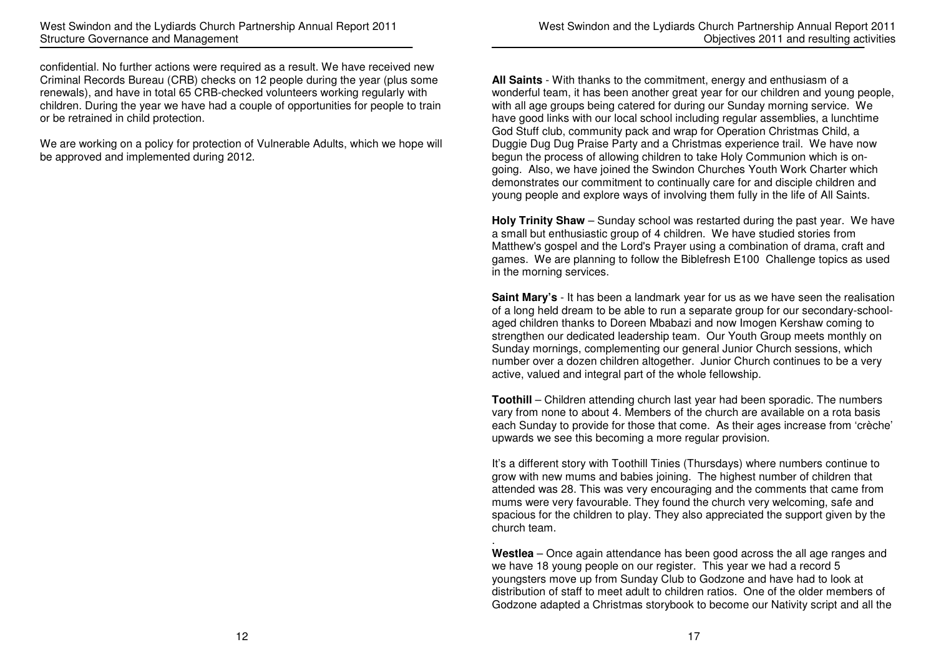confidential. No further actions were required as a result. We have received new Criminal Records Bureau (CRB) checks on 12 people during the year (plus some renewals), and have in total 65 CRB-checked volunteers working regularly with children. During the year we have had a couple of opportunities for people to train or be retrained in child protection.

We are working on a policy for protection of Vulnerable Adults, which we hope will be approved and implemented during 2012.

**All Saints** - With thanks to the commitment, energy and enthusiasm of a wonderful team, it has been another great year for our children and young people, with all age groups being catered for during our Sunday morning service. We have good links with our local school including regular assemblies, a lunchtime God Stuff club, community pack and wrap for Operation Christmas Child, a Duggie Dug Dug Praise Party and a Christmas experience trail. We have now begun the process of allowing children to take Holy Communion which is ongoing. Also, we have joined the Swindon Churches Youth Work Charter which demonstrates our commitment to continually care for and disciple children and young people and explore ways of involving them fully in the life of All Saints.

**Holy Trinity Shaw** – Sunday school was restarted during the past year. We have a small but enthusiastic group of 4 children. We have studied stories from Matthew's gospel and the Lord's Prayer using a combination of drama, craft and games. We are planning to follow the Biblefresh E100 Challenge topics as used in the morning services.

**Saint Mary's** - It has been a landmark year for us as we have seen the realisation of a long held dream to be able to run a separate group for our secondary-schoolaged children thanks to Doreen Mbabazi and now Imogen Kershaw coming to strengthen our dedicated leadership team. Our Youth Group meets monthly on Sunday mornings, complementing our general Junior Church sessions, which number over a dozen children altogether. Junior Church continues to be a very active, valued and integral part of the whole fellowship.

**Toothill** – Children attending church last year had been sporadic. The numbers vary from none to about 4. Members of the church are available on a rota basis each Sunday to provide for those that come. As their ages increase from 'crèche' upwards we see this becoming a more regular provision.

It's a different story with Toothill Tinies (Thursdays) where numbers continue to grow with new mums and babies joining. The highest number of children that attended was 28. This was very encouraging and the comments that came from mums were very favourable. They found the church very welcoming, safe and spacious for the children to play. They also appreciated the support given by the church team.

 **Westlea** – Once again attendance has been good across the all age ranges and we have 18 young people on our register. This year we had a record 5 youngsters move up from Sunday Club to Godzone and have had to look at distribution of staff to meet adult to children ratios. One of the older members of Godzone adapted a Christmas storybook to become our Nativity script and all the

.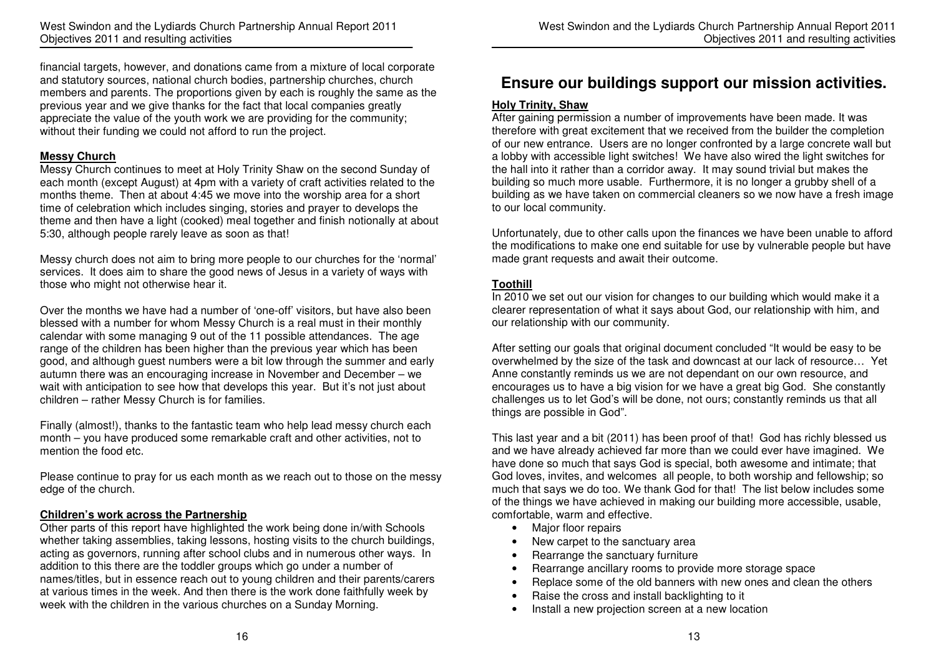financial targets, however, and donations came from a mixture of local corporate and statutory sources, national church bodies, partnership churches, church members and parents. The proportions given by each is roughly the same as the previous year and we give thanks for the fact that local companies greatly appreciate the value of the youth work we are providing for the community; without their funding we could not afford to run the project.

#### **Messy Church**

 Messy Church continues to meet at Holy Trinity Shaw on the second Sunday of each month (except August) at 4pm with a variety of craft activities related to the months theme. Then at about 4:45 we move into the worship area for a short time of celebration which includes singing, stories and prayer to develops the theme and then have a light (cooked) meal together and finish notionally at about 5:30, although people rarely leave as soon as that!

Messy church does not aim to bring more people to our churches for the 'normal' services. It does aim to share the good news of Jesus in a variety of ways with those who might not otherwise hear it.

Over the months we have had a number of 'one-off' visitors, but have also been blessed with a number for whom Messy Church is a real must in their monthly calendar with some managing 9 out of the 11 possible attendances. The age range of the children has been higher than the previous year which has been good, and although guest numbers were a bit low through the summer and early autumn there was an encouraging increase in November and December – we wait with anticipation to see how that develops this year. But it's not just about children – rather Messy Church is for families.

Finally (almost!), thanks to the fantastic team who help lead messy church each month – you have produced some remarkable craft and other activities, not to mention the food etc.

Please continue to pray for us each month as we reach out to those on the messy edge of the church.

#### **Children's work across the Partnership**

 Other parts of this report have highlighted the work being done in/with Schools whether taking assemblies, taking lessons, hosting visits to the church buildings, acting as governors, running after school clubs and in numerous other ways. In addition to this there are the toddler groups which go under a number of names/titles, but in essence reach out to young children and their parents/carers at various times in the week. And then there is the work done faithfully week by week with the children in the various churches on a Sunday Morning.

### **Ensure our buildings support our mission activities.**

#### **Holy Trinity, Shaw**

 After gaining permission a number of improvements have been made. It was therefore with great excitement that we received from the builder the completion of our new entrance. Users are no longer confronted by a large concrete wall but a lobby with accessible light switches! We have also wired the light switches for the hall into it rather than a corridor away. It may sound trivial but makes the building so much more usable. Furthermore, it is no longer a grubby shell of a building as we have taken on commercial cleaners so we now have a fresh image to our local community.

Unfortunately, due to other calls upon the finances we have been unable to afford the modifications to make one end suitable for use by vulnerable people but have made grant requests and await their outcome.

#### **Toothill**

 In 2010 we set out our vision for changes to our building which would make it a clearer representation of what it says about God, our relationship with him, and our relationship with our community.

After setting our goals that original document concluded "It would be easy to be overwhelmed by the size of the task and downcast at our lack of resource… Yet Anne constantly reminds us we are not dependant on our own resource, and encourages us to have a big vision for we have a great big God. She constantly challenges us to let God's will be done, not ours; constantly reminds us that all things are possible in God".

This last year and a bit (2011) has been proof of that! God has richly blessed us and we have already achieved far more than we could ever have imagined. We have done so much that says God is special, both awesome and intimate; that God loves, invites, and welcomes all people, to both worship and fellowship; so much that says we do too. We thank God for that! The list below includes some of the things we have achieved in making our building more accessible, usable, comfortable, warm and effective.

- Major floor repairs
- New carpet to the sanctuary area
- Rearrange the sanctuary furniture
- Rearrange ancillary rooms to provide more storage space
- Replace some of the old banners with new ones and clean the others
- Raise the cross and install backlighting to it
- Install a new projection screen at a new location